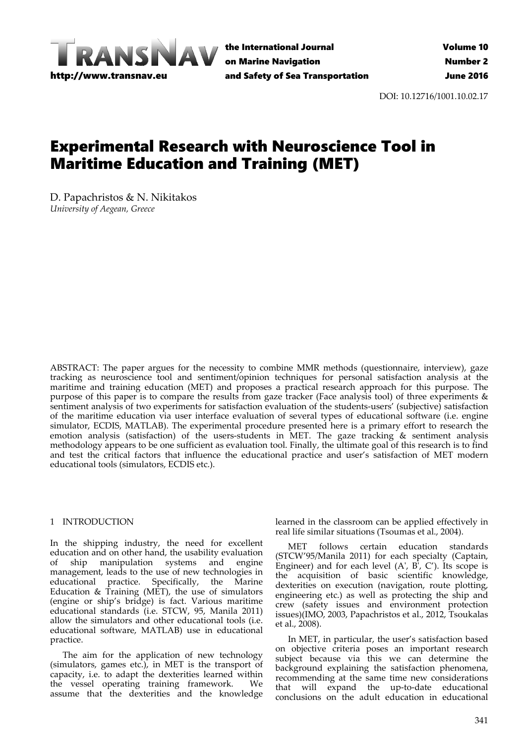

the International Journal on Marine Navigation and Safety of Sea Transportation

DOI: 10.12716/1001.10.02.17

# Experimental Research with Neuroscience Tool in Maritime Education and Training (MET)

D. Papachristos & N. Nikitakos *University of Aegean, Greece*

ABSTRACT: The paper argues for the necessity to combine MMR methods (questionnaire, interview), gaze tracking as neuroscience tool and sentiment/opinion techniques for personal satisfaction analysis at the maritime and training education (MET) and proposes a practical research approach for this purpose. The purpose of this paper is to compare the results from gaze tracker (Face analysis tool) of three experiments & sentiment analysis of two experiments for satisfaction evaluation of the students-users' (subjective) satisfaction of the maritime education via user interface evaluation of several types of educational software (i.e. engine simulator, ECDIS, MATLAB). The experimental procedure presented here is a primary effort to research the emotion analysis (satisfaction) of the users‐students in MET. The gaze tracking & sentiment analysis methodology appears to be one sufficient as evaluation tool. Finally, the ultimate goal of this research is to find and test the critical factors that influence the educational practice and user's satisfaction of MET modern educational tools (simulators, ECDIS etc.).

### 1 INTRODUCTION

In the shipping industry, the need for excellent education and on other hand, the usability evaluation<br>of ship manipulation systems and engine of ship manipulation systems and management, leads to the use of new technologies in educational practice. Specifically, the Marine Education  $\&$  Training (MET), the use of simulators (engine or ship's bridge) is fact. Various maritime educational standards (i.e. STCW, 95, Manila 2011) allow the simulators and other educational tools (i.e. educational software, MATLAB) use in educational practice.

The aim for the application of new technology (simulators, games etc.), in MET is the transport of capacity, i.e. to adapt the dexterities learned within the vessel operating training framework. We assume that the dexterities and the knowledge

learned in the classroom can be applied effectively in real life similar situations (Tsoumas et al., 2004).

MET follows certain education standards (STCW'95/Manila 2011) for each specialty (Captain, Engineer) and for each level  $(A', B', C')$ . Its scope is the acquisition of basic scientific knowledge, dexterities on execution (navigation, route plotting, engineering etc.) as well as protecting the ship and crew (safety issues and environment protection issues)(IMO, 2003, Papachristos et al., 2012, Tsoukalas et al., 2008).

In MET, in particular, the user's satisfaction based on objective criteria poses an important research subject because via this we can determine the background explaining the satisfaction phenomena, recommending at the same time new considerations that will expand the up‐to‐date educational conclusions on the adult education in educational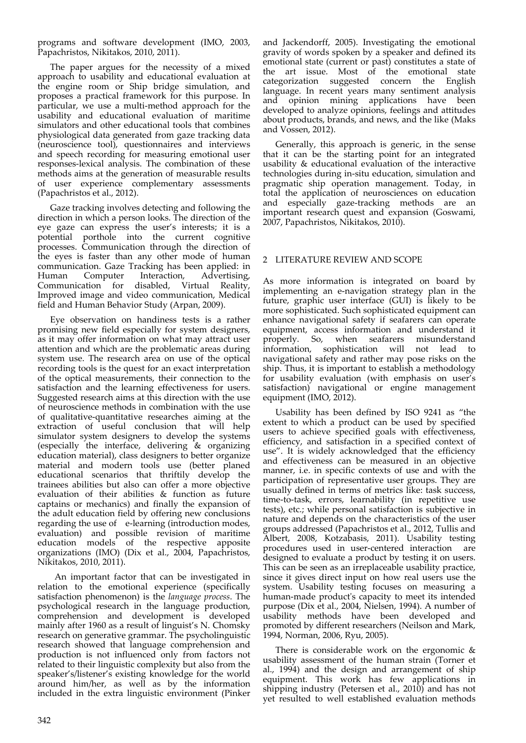programs and software development (IMO, 2003, Papachristos, Nikitakos, 2010, 2011).

The paper argues for the necessity of a mixed approach to usability and educational evaluation at the engine room or Ship bridge simulation, and proposes a practical framework for this purpose. In particular, we use a multi‐method approach for the usability and educational evaluation of maritime simulators and other educational tools that combines physiological data generated from gaze tracking data (neuroscience tool), questionnaires and interviews and speech recording for measuring emotional user responses‐lexical analysis. The combination of these methods aims at the generation of measurable results of user experience complementary assessments (Papachristos et al., 2012).

Gaze tracking involves detecting and following the direction in which a person looks. The direction of the eye gaze can express the user's interests; it is a potential porthole into the current cognitive processes. Communication through the direction of the eyes is faster than any other mode of human communication. Gaze Tracking has been applied: in Human Computer Interaction, Advertising,<br>Communication for disabled, Virtual Reality, Communication for disabled, Improved image and video communication, Medical field and Human Behavior Study (Arpan, 2009).

Eye observation on handiness tests is a rather promising new field especially for system designers, as it may offer information on what may attract user attention and which are the problematic areas during system use. The research area on use of the optical recording tools is the quest for an exact interpretation of the optical measurements, their connection to the satisfaction and the learning effectiveness for users. Suggested research aims at this direction with the use of neuroscience methods in combination with the use of qualitative‐quantitative researches aiming at the extraction of useful conclusion that will help simulator system designers to develop the systems (especially the interface, delivering & organizing education material), class designers to better organize material and modern tools use (better planed educational scenarios that thriftily develop the trainees abilities but also can offer a more objective evaluation of their abilities & function as future captains or mechanics) and finally the expansion of the adult education field by offering new conclusions regarding the use of e-learning (introduction modes, evaluation) and possible revision of maritime education models of the respective apposite organizations (ΙΜΟ) (Dix et al., 2004, Papachristos, Nikitakos, 2010, 2011).

An important factor that can be investigated in relation to the emotional experience (specifically satisfaction phenomenon) is the *language process*. The psychological research in the language production, comprehension and development is developed mainly after 1960 as a result of linguist's N. Chomsky research on generative grammar. The psycholinguistic research showed that language comprehension and production is not influenced only from factors not related to their linguistic complexity but also from the speaker's/listener's existing knowledge for the world around him/her, as well as by the information included in the extra linguistic environment (Pinker

and Jackendorff, 2005). Investigating the emotional gravity of words spoken by a speaker and defined its emotional state (current or past) constitutes a state of the art issue. Most of the emotional state categorization suggested concern the English language. In recent years many sentiment analysis and opinion mining applications have been developed to analyze opinions, feelings and attitudes about products, brands, and news, and the like (Maks and Vossen, 2012).

Generally, this approach is generic, in the sense that it can be the starting point for an integrated usability & educational evaluation of the interactive technologies during in‐situ education, simulation and pragmatic ship operation management. Today, in total the application of neurosciences on education and especially gaze‐tracking methods are an important research quest and expansion (Goswami, 2007, Papachristos, Nikitakos, 2010).

# 2 LITERATURE REVIEW AND SCOPE

As more information is integrated on board by implementing an e‐navigation strategy plan in the future, graphic user interface (GUI) is likely to be more sophisticated. Such sophisticated equipment can enhance navigational safety if seafarers can operate equipment, access information and understand it properly. So, when seafarers misunderstand properly. So, when seafarers misunderstand information, sophistication will not lead to navigational safety and rather may pose risks on the ship. Thus, it is important to establish a methodology for usability evaluation (with emphasis on user's satisfaction) navigational or engine management equipment (IMO, 2012).

Usability has been defined by ISO 9241 as "the extent to which a product can be used by specified users to achieve specified goals with effectiveness, efficiency, and satisfaction in a specified context of use". It is widely acknowledged that the efficiency and effectiveness can be measured in an objective manner, i.e. in specific contexts of use and with the participation of representative user groups. They are usually defined in terms of metrics like: task success, time‐to‐task, errors, learnability (in repetitive use tests), etc.; while personal satisfaction is subjective in nature and depends on the characteristics of the user groups addressed (Papachristos et al., 2012, Tullis and Albert, 2008, Kotzabasis, 2011). Usability testing procedures used in user-centered interaction are designed to evaluate a product by testing it on users. This can be seen as an irreplaceable usability practice, since it gives direct input on how real users use the system. Usability testing focuses on measuring a human-made product's capacity to meet its intended purpose (Dix et al., 2004, Nielsen, 1994). A number of usability methods have been developed and promoted by different researchers (Neilson and Mark, 1994, Norman, 2006, Ryu, 2005).

There is considerable work on the ergonomic & usability assessment of the human strain (Torner et al., 1994) and the design and arrangement of ship equipment. This work has few applications in shipping industry (Petersen et al., 2010) and has not yet resulted to well established evaluation methods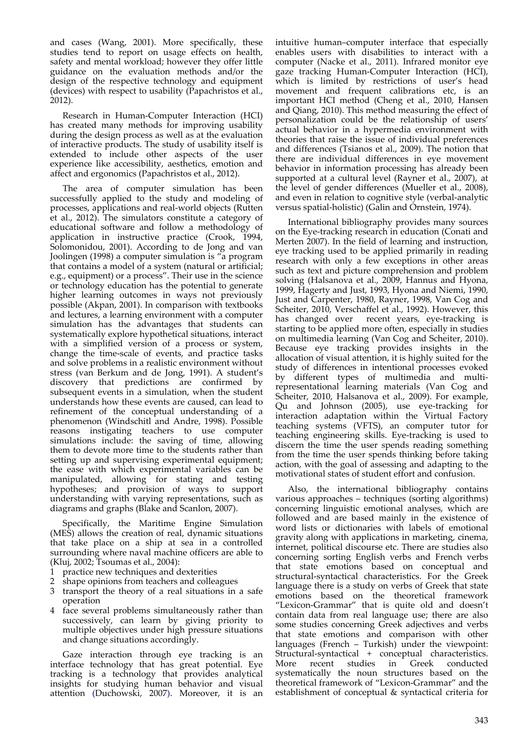and cases (Wang, 2001). More specifically, these studies tend to report on usage effects on health, safety and mental workload; however they offer little guidance on the evaluation methods and/or the design of the respective technology and equipment (devices) with respect to usability (Papachristos et al., 2012).

Research in Human‐Computer Interaction (HCI) has created many methods for improving usability during the design process as well as at the evaluation of interactive products. The study of usability itself is extended to include other aspects of the user experience like accessibility, aesthetics, emotion and affect and ergonomics (Papachristos et al., 2012).

The area of computer simulation has been successfully applied to the study and modeling of processes, applications and real‐world objects (Rutten et al., 2012). The simulators constitute a category of educational software and follow a methodology of application in instructive practice (Crook, 1994, Solomonidou, 2001). According to de Jong and van Joolingen (1998) a computer simulation is "a program that contains a model of a system (natural or artificial; e.g., equipment) or a process". Their use in the science or technology education has the potential to generate higher learning outcomes in ways not previously possible (Akpan, 2001). In comparison with textbooks and lectures, a learning environment with a computer simulation has the advantages that students can systematically explore hypothetical situations, interact with a simplified version of a process or system, change the time‐scale of events, and practice tasks and solve problems in a realistic environment without stress (van Berkum and de Jong, 1991). A student's discovery that predictions are confirmed by subsequent events in a simulation, when the student understands how these events are caused, can lead to refinement of the conceptual understanding of a phenomenon (Windschitl and Andre, 1998). Possible reasons instigating teachers to use computer simulations include: the saving of time, allowing them to devote more time to the students rather than setting up and supervising experimental equipment; the ease with which experimental variables can be manipulated, allowing for stating and testing hypotheses; and provision of ways to support understanding with varying representations, such as diagrams and graphs (Blake and Scanlon, 2007).

Specifically, the Maritime Engine Simulation (MES) allows the creation of real, dynamic situations that take place on a ship at sea in a controlled surrounding where naval machine officers are able to (Kluj, 2002; Tsoumas et al., 2004):

- 1 practice new techniques and dexterities
- 2 shape opinions from teachers and colleagues
- 3 transport the theory of a real situations in a safe operation
- 4 face several problems simultaneously rather than successively, can learn by giving priority to multiple objectives under high pressure situations and change situations accordingly.

Gaze interaction through eye tracking is an interface technology that has great potential. Eye tracking is a technology that provides analytical insights for studying human behavior and visual attention (Duchowski, 2007). Moreover, it is an

intuitive human–computer interface that especially enables users with disabilities to interact with a computer (Nacke et al., 2011). Infrared monitor eye gaze tracking Human‐Computer Interaction (HCI), which is limited by restrictions of user's head movement and frequent calibrations etc, is an important HCI method (Cheng et al., 2010, Hansen and Qiang, 2010). This method measuring the effect of personalization could be the relationship of users' actual behavior in a hypermedia environment with theories that raise the issue of individual preferences and differences (Tsianos et al., 2009). The notion that there are individual differences in eye movement behavior in information processing has already been supported at a cultural level (Rayner et al., 2007), at the level of gender differences (Mueller et al., 2008), and even in relation to cognitive style (verbal‐analytic versus spatial‐holistic) (Galin and Ornstein, 1974).

International bibliography provides many sources on the Eye‐tracking research in education (Conati and Merten 2007). In the field of learning and instruction, eye tracking used to be applied primarily in reading research with only a few exceptions in other areas such as text and picture comprehension and problem solving (Halsanova et al., 2009, Hannus and Hyona, 1999, Hagerty and Just, 1993, Hyona and Niemi, 1990, Just and Carpenter, 1980, Rayner, 1998, Van Cog and Scheiter, 2010, Verschaffel et al., 1992). However, this has changed over recent years, eye-tracking is starting to be applied more often, especially in studies on multimedia learning (Van Cog and Scheiter, 2010). Because eye tracking provides insights in the allocation of visual attention, it is highly suited for the study of differences in intentional processes evoked by different types of multimedia and multi‐ representational learning materials (Van Cog and Scheiter, 2010, Halsanova et al., 2009). For example, Qu and Johnson (2005), use eye-tracking for interaction adaptation within the Virtual Factory teaching systems (VFTS), an computer tutor for teaching engineering skills. Eye‐tracking is used to discern the time the user spends reading something from the time the user spends thinking before taking action, with the goal of assessing and adapting to the motivational states of student effort and confusion.

Also, the international bibliography contains various approaches – techniques (sorting algorithms) concerning linguistic emotional analyses, which are followed and are based mainly in the existence of word lists or dictionaries with labels of emotional gravity along with applications in marketing, cinema, internet, political discourse etc. There are studies also concerning sorting English verbs and French verbs that state emotions based on conceptual and structural‐syntactical characteristics. For the Greek language there is a study on verbs of Greek that state emotions based on the theoretical framework "Lexicon‐Grammar" that is quite old and doesn't contain data from real language use; there are also some studies concerning Greek adjectives and verbs that state emotions and comparison with other languages (French – Turkish) under the viewpoint: Structural‐syntactical + conceptual characteristics. More recent studies in Greek conducted systematically the noun structures based on the theoretical framework of "Lexicon‐Grammar" and the establishment of conceptual & syntactical criteria for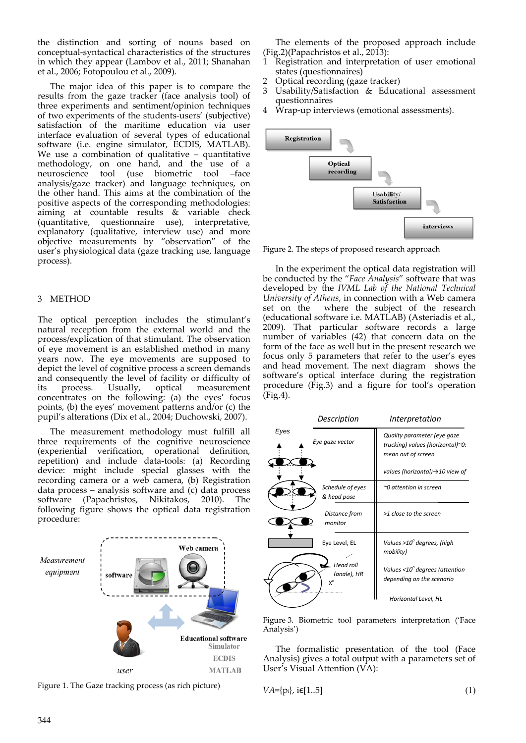the distinction and sorting of nouns based on conceptual‐syntactical characteristics of the structures in which they appear (Lambov et al., 2011; Shanahan et al., 2006; Fotopoulou et al., 2009).

The major idea of this paper is to compare the results from the gaze tracker (face analysis tool) of three experiments and sentiment/opinion techniques of two experiments of the students‐users' (subjective) satisfaction of the maritime education via user interface evaluation of several types of educational software (i.e. engine simulator, ECDIS, MATLAB). We use a combination of qualitative – quantitative methodology, on one hand, and the use of a neuroscience tool (use biometric tool –face analysis/gaze tracker) and language techniques, on the other hand. This aims at the combination of the positive aspects of the corresponding methodologies: aiming at countable results & variable check (quantitative, questionnaire use), interpretative, explanatory (qualitative, interview use) and more objective measurements by "observation" of the user's physiological data (gaze tracking use, language process).

## 3 METHOD

The optical perception includes the stimulant's natural reception from the external world and the process/explication of that stimulant. The observation of eye movement is an established method in many years now. The eye movements are supposed to depict the level of cognitive process a screen demands and consequently the level of facility or difficulty of its process. Usually, optical measurement its process. Usually, optical measurement concentrates on the following: (a) the eyes' focus points, (b) the eyes' movement patterns and/or (c) the pupil's alterations (Dix et al., 2004; Duchowski, 2007).

The measurement methodology must fulfill all three requirements of the cognitive neuroscience (experiential verification, operational definition, repetition) and include data‐tools: (a) Recording device: might include special glasses with the recording camera or a web camera, (b) Registration data process – analysis software and (c) data process software (Papachristos, Nikitakos, 2010). The following figure shows the optical data registration procedure:



Figure 1. The Gaze tracking process (as rich picture)

The elements of the proposed approach include  $(Fig.2)(Papachristos et al., 2013):$ 

- 1 Registration and interpretation of user emotional states (questionnaires)
- 2 Optical recording (gaze tracker)
- 3 Usability/Satisfaction & Educational assessment questionnaires
- 4 Wrap‐up interviews (emotional assessments).



Figure 2. The steps of proposed research approach

In the experiment the optical data registration will be conducted by the "*Face Analysis*" software that was developed by the *IVML Lab of the National Technical University of Athens*, in connection with a Web camera set on the where the subject of the research where the subject of the research (educational software i.e. MATLAB) (Asteriadis et al., 2009). That particular software records a large number of variables (42) that concern data on the form of the face as well but in the present research we focus only 5 parameters that refer to the user's eyes and head movement. The next diagram shows the software's optical interface during the registration procedure (Fig.3) and a figure for tool's operation (Fig.4).

|      | Description                           | Interpretation                                                                        |
|------|---------------------------------------|---------------------------------------------------------------------------------------|
| Eyes | Eye gaze vector                       | Quality parameter (eye gaze<br>trucking) values (horizontal)~0:<br>mean out of screen |
|      |                                       | values (horizontal) $\rightarrow$ 10 view of                                          |
|      | Schedule of eyes<br>& head pose       | $\sim$ 0 attention in screen                                                          |
|      | Distance from<br>monitor              | >1 close to the screen                                                                |
|      | Eye Level, EL                         | Values >10° degrees, (high<br>mobility)                                               |
|      | <b>Head roll</b><br>(anale), HR<br>χ° | Values <10 <sup>°</sup> degrees (attention<br>depending on the scenario               |
|      |                                       | Horizontal Level, HL                                                                  |

Figure 3. Biometric tool parameters interpretation ('Face Analysis')

The formalistic presentation of the tool (Face Analysis) gives a total output with a parameters set of User's Visual Attention (VA):

$$
VA = \{p_i\}, i \in [1..5]
$$
 (1)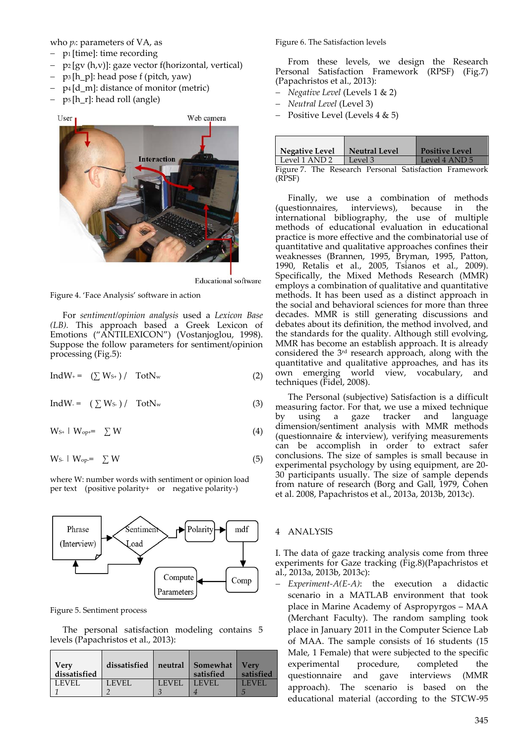who *pi*: parameters of VA, as

- $-$  p<sub>1</sub> [time]: time recording
- $-$  p<sub>2</sub> [gv (h,v)]: gaze vector f(horizontal, vertical)
- $-$  p<sub>3</sub> [h\_p]: head pose f (pitch, yaw)
- $-p_4$  [d m]: distance of monitor (metric)
- p5 [h\_r]: head roll (angle)



**Educational** software

Figure 4. 'Face Analysis' software in action

For *sentiment/opinion analysis* used a *Lexicon Base (LB).* This approach based a Greek Lexicon of Emotions ("ANTILEXICON") (Vostanjoglou, 1998). Suppose the follow parameters for sentiment/opinion processing (Fig.5):

$$
IndW_{+} = (\sum W_{S+}) / TotN_{w}
$$
 (2)

$$
IndW = (\sum W_{S} - ) / \operatorname{TotN_w} \tag{3}
$$

 $W_{S+}$  |  $W_{\text{opt}} = \sum W$  (4)

$$
W_{S-} \mid W_{op} = \sum W \tag{5}
$$

where W: number words with sentiment or opinion load per text (positive polarity+ or negative polarity-)



Figure 5. Sentiment process

The personal satisfaction modeling contains 5 levels (Papachristos et al., 2013):

| Very<br>dissatisfied | dissatisfied |              | neutral Somewhat<br>satisfied | <b>Verv</b><br>satisfied |
|----------------------|--------------|--------------|-------------------------------|--------------------------|
| <b>LEVEL</b>         | LEVEL        | <b>LEVEL</b> | LEVEL                         | <b>LEVEL</b>             |
|                      |              |              |                               |                          |

Figure 6. The Satisfaction levels

From these levels, we design the Research Personal Satisfaction Framework (RPSF) (Fig.7) (Papachristos et al., 2013):

- *Negative Level* (Levels 1 & 2)
- *Neutral Level* (Level 3)
- Positive Level (Levels 4 & 5)

| <b>Negative Level</b> | <b>Neutral Level</b> | <b>Positive Level</b> |
|-----------------------|----------------------|-----------------------|
| Level 1 AND 2         | Level 3              | Level 4 AND 5         |
|                       |                      |                       |

Figure 7. The Research Personal Satisfaction Framework (RPSF)

Finally, we use a combination of methods (questionnaires, interviews), because in the international bibliography, the use of multiple methods of educational evaluation in educational practice is more effective and the combinatorial use of quantitative and qualitative approaches confines their weaknesses (Brannen, 1995, Bryman, 1995, Patton, 1990, Retalis et al., 2005, Tsianos et al., 2009). Specifically, the Mixed Methods Research (MMR) employs a combination of qualitative and quantitative methods. It has been used as a distinct approach in the social and behavioral sciences for more than three decades. MMR is still generating discussions and debates about its definition, the method involved, and the standards for the quality. Although still evolving, MMR has become an establish approach. It is already considered the 3rd research approach, along with the quantitative and qualitative approaches, and has its own emerging world view, vocabulary, and techniques (Fidel, 2008).

The Personal (subjective) Satisfaction is a difficult measuring factor. For that, we use a mixed technique by using a gaze tracker and language dimension/sentiment analysis with MMR methods (questionnaire & interview), verifying measurements can be accomplish in order to extract safer conclusions. The size of samples is small because in experimental psychology by using equipment, are 20‐ 30 participants usually. The size of sample depends from nature of research (Borg and Gall, 1979, Cohen et al. 2008, Papachristos et al., 2013a, 2013b, 2013c).

### 4 ANALYSIS

I. The data of gaze tracking analysis come from three experiments for Gaze tracking (Fig.8)(Papachristos et al., 2013a, 2013b, 2013c):

 *Experiment‐A(E‐A)*: the execution a didactic scenario in a MATLAB environment that took place in Marine Academy of Aspropyrgos – MAA (Merchant Faculty). The random sampling took place in January 2011 in the Computer Science Lab of MAA. The sample consists of 16 students (15 Male, 1 Female) that were subjected to the specific experimental procedure, completed the questionnaire and gave interviews (MMR approach). The scenario is based on the educational material (according to the STCW‐95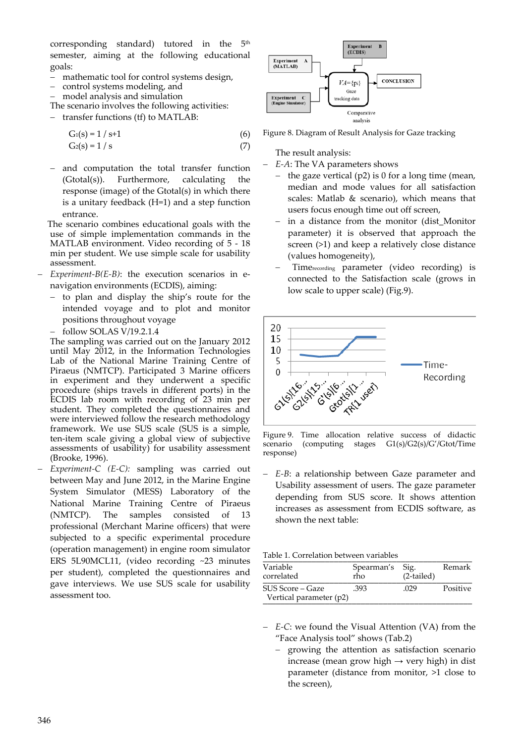corresponding standard) tutored in the  $5<sup>th</sup>$ semester, aiming at the following educational goals:

- mathematic tool for control systems design,
- control systems modeling, and
- model analysis and simulation
- The scenario involves the following activities:
- transfer functions (tf) to MATLAB:

$$
G_1(s) = 1 / s + 1 \tag{6}
$$

$$
G_2(s) = 1 / s \tag{7}
$$

 and computation the total transfer function (Gtotal(s)). Furthermore, calculating the response (image) of the Gtotal(s) in which there is a unitary feedback (Η=1) and a step function entrance.

The scenario combines educational goals with the use of simple implementation commands in the MATLAB environment. Video recording of  $5 - 18$ min per student. We use simple scale for usability assessment.

- *Experiment‐B(E‐B)*: the execution scenarios in e‐ navigation environments (ECDIS), aiming:
	- to plan and display the ship's route for the intended voyage and to plot and monitor positions throughout voyage
	- $-$  follow SOLAS V/19.2.1.4

The sampling was carried out on the January 2012 until May 2012, in the Information Technologies Lab of the National Marine Training Centre of Piraeus (NMTCP). Participated 3 Marine officers in experiment and they underwent a specific procedure (ships travels in different ports) in the ECDIS lab room with recording of 23 min per student. They completed the questionnaires and were interviewed follow the research methodology framework. We use SUS scale (SUS is a simple, ten‐item scale giving a global view of subjective assessments of usability) for usability assessment (Brooke, 1996).

 *Experiment‐C (E‐C):* sampling was carried out between May and June 2012, in the Marine Engine System Simulator (MESS) Laboratory of the National Marine Training Centre of Piraeus (NMTCP). The samples consisted of 13 professional (Merchant Marine officers) that were subjected to a specific experimental procedure (operation management) in engine room simulator ERS 5L90MCL11, (video recording ~23 minutes per student), completed the questionnaires and gave interviews. We use SUS scale for usability assessment too.



Figure 8. Diagram of Result Analysis for Gaze tracking

The result analysis:

- *E‐A*: The VA parameters shows
- the gaze vertical  $(p2)$  is 0 for a long time (mean, median and mode values for all satisfaction scales: Matlab & scenario), which means that users focus enough time out off screen,
- in a distance from the monitor (dist\_Monitor parameter) it is observed that approach the screen (>1) and keep a relatively close distance (values homogeneity),
- Timerecording parameter (video recording) is connected to the Satisfaction scale (grows in low scale to upper scale) (Fig.9).



Figure 9. Time allocation relative success of didactic scenario (computing stages G1(s)/G2(s)/G'/Gtot/Time response)

 *E‐B*: a relationship between Gaze parameter and Usability assessment of users. The gaze parameter depending from SUS score. It shows attention increases as assessment from ECDIS software, as shown the next table:

| Table 1. Correlation between variables |  |
|----------------------------------------|--|
|                                        |  |

| Variable<br>correlated                      | Spearman's Sig.<br>rho | $(2-tailed)$ | Remark   |
|---------------------------------------------|------------------------|--------------|----------|
| SUS Score – Gaze<br>Vertical parameter (p2) | .393                   | .029         | Positive |

- *E‐C*: we found the Visual Attention (VA) from the "Face Analysis tool" shows (Tab.2)
	- growing the attention as satisfaction scenario increase (mean grow high  $\rightarrow$  very high) in dist parameter (distance from monitor, >1 close to the screen),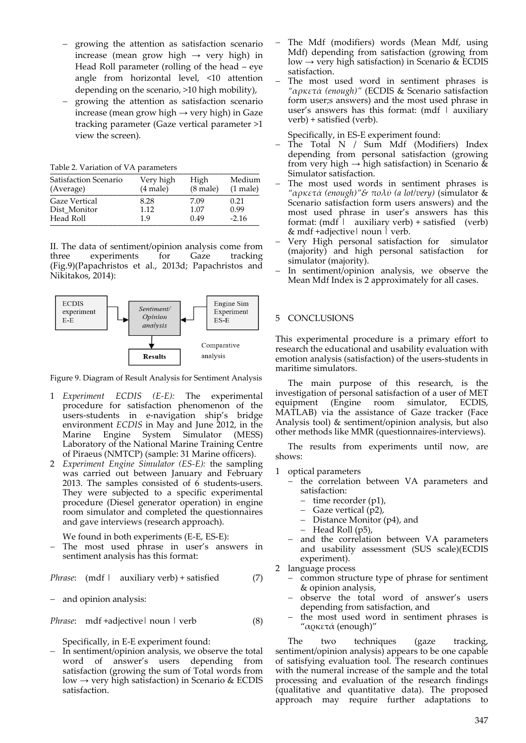- growing the attention as satisfaction scenario increase (mean grow high  $\rightarrow$  very high) in Head Roll parameter (rolling of the head – eye angle from horizontal level, <10 attention depending on the scenario, >10 high mobility),
- growing the attention as satisfaction scenario increase (mean grow high  $\rightarrow$  very high) in Gaze tracking parameter (Gaze vertical parameter >1 view the screen).

Table 2. Variation of VA parameters

| Satisfaction Scenario | Very high     | High               | Medium     |
|-----------------------|---------------|--------------------|------------|
| (Average)             | $(4$ male $)$ | $(8 \text{ male})$ | $(1$ male) |
| <b>Gaze Vertical</b>  | 8.28          | 7.09               | 0.21       |
| Dist Monitor          | 1.12          | 1.07               | 0.99       |
| Head Roll             | 19            | 0.49               | $-2.16$    |

II. The data of sentiment/opinion analysis come from three experiments for Gaze tracking (Fig.9)(Papachristos et al., 2013d; Papachristos and Nikitakos, 2014):



Figure 9. Diagram of Result Analysis for Sentiment Analysis

- 1 *Experiment ECDIS (E‐E):* The experimental procedure for satisfaction phenomenon of the users‐students in e‐navigation ship's bridge environment *ECDIS* in May and June 2012, in the Marine Engine System Simulator (MESS) Laboratory of the National Marine Training Centre of Piraeus (NMTCP) (sample: 31 Marine officers).
- 2 *Experiment Engine Simulator (ES‐E):* the sampling was carried out between January and February 2013. The samples consisted of  $\ddot{6}$  students-users. They were subjected to a specific experimental procedure (Diesel generator operation) in engine room simulator and completed the questionnaires and gave interviews (research approach).

We found in both experiments (E‐E, ES‐E):

 The most used phrase in user's answers in sentiment analysis has this format:

*Phrase*: (mdf | auxiliary verb) + satisfied (7)

- and opinion analysis:

*Phrase*: mdf +adjective| noun | verb (8)

Specifically, in E‐E experiment found:

 $-$  In sentiment/opinion analysis, we observe the total word of answer's users depending from satisfaction (growing the sum of Total words from low  $\rightarrow$  very high satisfaction) in Scenario & ECDIS satisfaction.

- The Mdf (modifiers) words (Mean Mdf, using Mdf) depending from satisfaction (growing from low  $\rightarrow$  very high satisfaction) in Scenario & ECDIS satisfaction.
- The most used word in sentiment phrases is *"αρκετά (enough)"* (ECDIS & Scenario satisfaction form user;s answers) and the most used phrase in user's answers has this format: (mdf  $\mid$  auxiliary verb) + satisfied (verb).

Specifically, in ES‐E experiment found:

- The Total N / Sum Mdf (Modifiers) Index depending from personal satisfaction (growing from very high  $\rightarrow$  high satisfaction) in Scenario & Simulator satisfaction.
- The most used words in sentiment phrases is *"αρκετά (enough)"& πολύ (a lot/very)* (simulator & Scenario satisfaction form users answers) and the most used phrase in user's answers has this format:  $(mdf \mid auxiliary verb) + satisfied (verb)$ & mdf +adjective| noun | verb.
- Very High personal satisfaction for simulator (majority) and high personal satisfaction for simulator (majority).
- In sentiment/opinion analysis, we observe the Mean Mdf Index is 2 approximately for all cases.

# 5 CONCLUSIONS

This experimental procedure is a primary effort to research the educational and usability evaluation with emotion analysis (satisfaction) of the users‐students in maritime simulators.

The main purpose of this research, is the investigation of personal satisfaction of a user of MET equipment (Engine room simulator, ECDIS, MATLAB) via the assistance of Gaze tracker (Face Analysis tool) & sentiment/opinion analysis, but also other methods like MMR (questionnaires‐interviews).

The results from experiments until now, are shows:

- 1 optical parameters
	- the correlation between VA parameters and satisfaction:
		- time recorder (p1),
		- Gaze vertical (p2),
		- Distance Monitor (p4), and
		- Head Roll (p5),
	- and the correlation between VA parameters and usability assessment (SUS scale)(ECDIS experiment).
- 2 language process
	- common structure type of phrase for sentiment & opinion analysis,
	- observe the total word of answer's users depending from satisfaction, and
	- the most used word in sentiment phrases is "αρκετά (enough)"

The two techniques (gaze tracking, sentiment/opinion analysis) appears to be one capable of satisfying evaluation tool. The research continues with the numeral increase of the sample and the total processing and evaluation of the research findings (qualitative and quantitative data). The proposed approach may require further adaptations to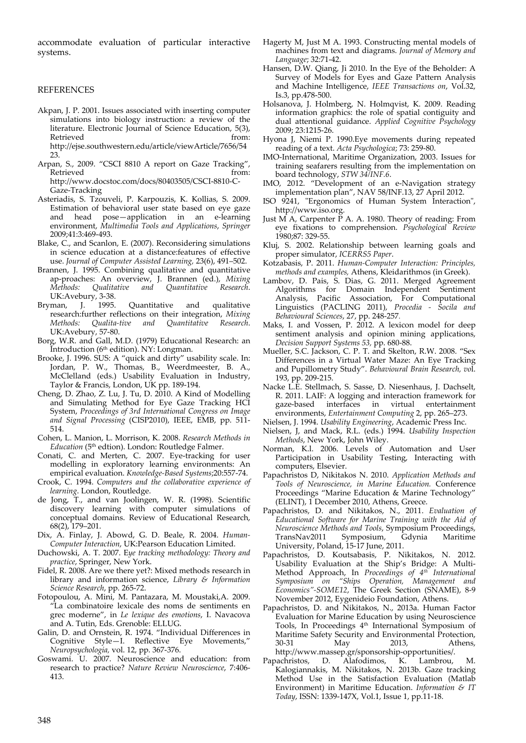accommodate evaluation of particular interactive systems.

#### REFERENCES

- Akpan, J. P. 2001. Issues associated with inserting computer simulations into biology instruction: a review of the literature. Electronic Journal of Science Education, 5(3), Retrieved from: http://ejse.southwestern.edu/article/viewArticle/7656/54
- 23. Arpan, S., 2009. "CSCI 8810 A report on Gaze Tracking", Retrieved from: http://www.docstoc.com/docs/80403505/CSCI‐8810‐C‐ Gaze‐Tracking
- Asteriadis, S. Tzouveli, P. Karpouzis, K. Kollias, S. 2009. Estimation of behavioral user state based on eye gaze and head pose—application in an e‐learning environment, *Multimedia Tools and Applications*, *Springer* 2009;41:3:469‐493.
- Blake, C., and Scanlon, E. (2007). Reconsidering simulations in science education at a distance:features of effective use. *Journal of Computer Assisted Learning,* 23(6), 491–502.
- Brannen, J. 1995. Combining qualitative and quantitative ap-proaches: An overview, J. Brannen (ed.), Mixing<br>Methods: Qualitative and Quantitative Research. *Methods: Qualitative and Quantitative Research*. UK:Avebury, 3‐38.
- Bryman, J. 1995. Quantitative and qualitative research:further reflections on their integration, *Mixing Methods: Qualita‐tive and Quantitative Research*. UK:Avebury, 57‐80.
- Borg, W.R. and Gall, M.D. (1979) Educational Research: an Introduction ( $6<sup>th</sup>$  edition). NY: Longman.
- Brooke, J. 1996. SUS: A "quick and dirty" usability scale. In: Jordan, P. W., Thomas, B., Weerdmeester, B. A., McClelland (eds.) Usability Evaluation in Industry, Taylor & Francis, London, UK pp. 189‐194.
- Cheng, D. Zhao, Z. Lu, J. Tu, D. 2010. A Kind of Modelling and Simulating Method for Eye Gaze Tracking HCI System, *Proceedings of 3rd International Congress on Image and Signal Processing* (CISP2010), IEEE, EMB, pp. 511‐ 514.
- Cohen, L. Manion, L. Morrison, K. 2008. *Research Methods in* Education (5<sup>th</sup> edtion). London: Routledge Falmer.
- Conati, C. and Merten, C. 2007. Eye‐tracking for user modelling in exploratory learning environments: An empirical evaluation. *Knowledge‐Based Systems*;20:557‐74.
- Crook, C. 1994. *Computers and the collaborative experience of learning*. London, Routledge.
- de Jong, T., and van Joolingen, W. R. (1998). Scientific discovery learning with computer simulations of conceptual domains. Review of Educational Research, 68(2), 179–201.
- Dix, A. Finlay, J. Abowd, G. D. Beale, R. 2004. *Human‐ Computer Interaction*, UK:Pearson Education Limited.
- Duchowski, A. T. 2007. E*ye tracking methodology: Theory and practice*, Springer, New York.
- Fidel, R. 2008. Are we there yet?: Mixed methods research in library and information science, *Library & Information Science Research*, pp. 265‐72.
- Fotopoulou, A. Mini, M. Pantazara, M. Moustaki,A. 2009. "La combinatoire lexicale des noms de sentiments en grec moderne", in *Le lexique des emotions*, I. Navacova and A. Tutin, Eds. Grenoble: ELLUG.
- Galin, D. and Ornstein, R. 1974. "Individual Differences in Cognitive Style—I. Reflective Eye Movements," *Neuropsychologia,* vol. 12, pp. 367‐376.
- Goswami. U. 2007. Neuroscience and education: from research to practice? *Nature Review Neuroscience*, 7:406‐ 413.
- Hagerty M, Just M A. 1993. Constructing mental models of machines from text and diagrams. *Journal of Memory and Language*; 32:71‐42.
- Hansen, D.W. Qiang, Ji 2010. In the Eye of the Beholder: A Survey of Models for Eyes and Gaze Pattern Analysis and Machine Intelligence, *IEEE Transactions on*, Vol.32, Is.3, pp.478‐500.
- Holsanova, J. Holmberg, N. Holmqvist, K. 2009. Reading information graphics: the role of spatial contiguity and dual attentional guidance. *Applied Cognitive Psychology* 2009; 23:1215‐26.
- Hyona J, Niemi P. 1990.Eye movements during repeated reading of a text. *Acta Psychologica*; 73: 259‐80.
- IMO‐International, Maritime Organization, 2003. Issues for training seafarers resulting from the implementation on board technology, *STW 34/INF.6*.
- IMO, 2012. "Development of an e‐Navigation strategy implementation plan", NAV 58/INF.13, 27 April 2012.
- ISO 9241, "Ergonomics of Human System Interaction", http://www.iso.org.
- Just M A, Carpenter  $\check{P}$  A. A. 1980. Theory of reading: From eye fixations to comprehension. *Psychological Review* 1980;87: 329‐55.
- Kluj, S. 2002. Relationship between learning goals and proper simulator, *ICERRS5 Paper*.
- Kotzabasis, P. 2011. *Human‐Computer Interaction: Principles, methods and examples,* Athens, Kleidarithmos (in Greek).
- Lambov, D. Pais, S. Dias, G. 2011. Merged Agreement Algorithms for Domain Independent Sentiment Analysis, Pacific Association, For Computational Linguistics (PACLING 2011), *Procedia ‐ Socila and Behavioural Sciences*, 27, pp. 248‐257.
- Maks, I. and Vossen, P. 2012. A lexicon model for deep sentiment analysis and opinion mining applications, *Decision Support Systems 53,* pp. 680‐88.
- Mueller, S.C. Jackson, C. P. T. and Skelton, R.W. 2008. "Sex Differences in a Virtual Water Maze: An Eye Tracking and Pupillometry Study". *Behavioural Brain Research, vo*l. 193, pp. 209‐215.
- Nacke L.E. Stellmach, S. Sasse, D. Niesenhaus, J. Dachselt, R. 2011. LAIF: A logging and interaction framework for in virtual entertainment environments, *Entertainment Computing* 2, pp. 265–273.
- Nielsen, J. 1994. *Usability Engineering*, Academic Press Inc.
- Nielsen, J, and Mack, R.L. (eds.) 1994. *Usability Inspection Methods*, New York, John Wiley.
- Norman, K.l. 2006. Levels of Automation and User Participation in Usability Testing, Interacting with computers, Elsevier.
- Papachristos D, Nikitakos N. 2010. *Application Methods and Tools of Neuroscience, in Marine Education.* Conference Proceedings "Marine Education & Marine Technology" (ELINT), 1 December 2010, Athens, Greece.
- Papachristos, D. and Nikitakos, N., 2011. *Evaluation of Educational Software for Marine Training with the Aid of Neuroscience Methods and Tools*, Symposium Proceedings, TransNav2011 Symposium, Gdynia Maritime University, Poland, 15‐17 June, 2011.
- Papachristos, D. Koutsabasis, P. Nikitakos, N. 2012. Usability Evaluation at the Ship's Bridge: A Multi‐ Method Approach, In *Proceedings of 4th International Symposium on "Ships Operation, Management and Economics"‐SOME12*, The Greek Section (SNAME), 8‐9 November 2012, Eygenideio Foundation, Athens.
- Papachristos, D. and Nikitakos, N., 2013a. Human Factor Evaluation for Marine Education by using Neuroscience Tools, In Proceedings 4<sup>th</sup> International Symposium of Maritime Safety Security and Environmental Protection, 30-31 May 2013, Athens, Athens, http://www.massep.gr/sponsorship‐opportunities/.
- Papachristos, D. Alafodimos, K. Lambrou, M. Kalogiannakis, M. Nikitakos, N. 2013b. Gaze tracking Method Use in the Satisfaction Evaluation (Matlab Environment) in Maritime Education. *Information & IT Today*, ISSN: 1339‐147X, Vol.1, Issue 1, pp.11‐18.